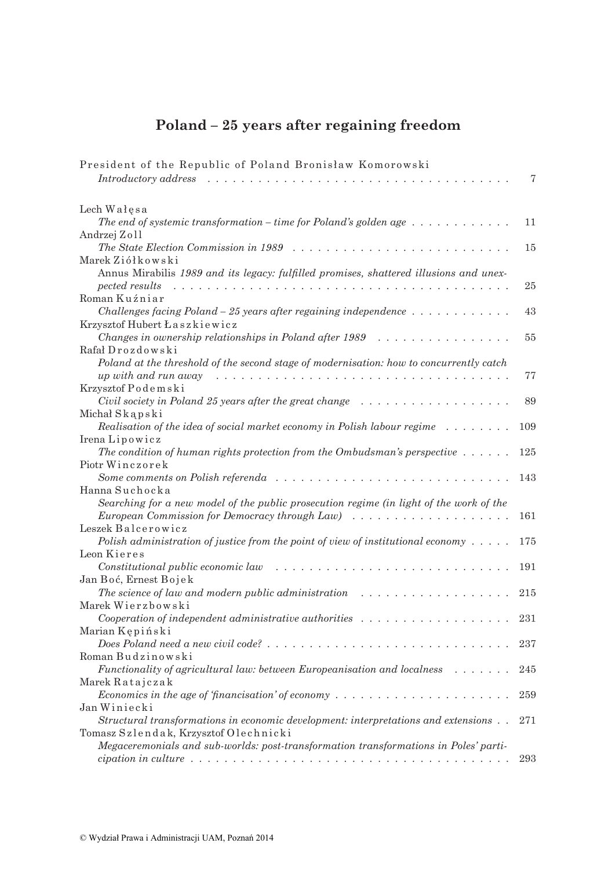## Poland - 25 years after regaining freedom

| President of the Republic of Poland Bronisław Komorowski                                                 |     |
|----------------------------------------------------------------------------------------------------------|-----|
| Introductory address                                                                                     | 7   |
| Lech Wałęsa                                                                                              |     |
| The end of systemic transformation – time for Poland's golden age $\dots \dots \dots \dots$              | 11  |
| Andrzej Zoll                                                                                             |     |
| The State Election Commission in 1989<br>.                                                               | 15  |
| Marek Ziółkowski                                                                                         |     |
| Annus Mirabilis 1989 and its legacy: fulfilled promises, shattered illusions and unex-<br>pected results | 25  |
| Roman Kuźniar                                                                                            |     |
| Challenges facing Poland $-25$ years after regaining independence $\dots \dots \dots \dots$              | 43  |
| Krzysztof Hubert Łaszkiewicz                                                                             |     |
| Changes in ownership relationships in Poland after 1989                                                  | 55  |
| Rafał Drozdowski                                                                                         |     |
| Poland at the threshold of the second stage of modernisation: how to concurrently catch                  |     |
| up with and run away                                                                                     | 77  |
| Krzysztof Podemski                                                                                       |     |
| Civil society in Poland 25 years after the great change                                                  | 89  |
| Michał Skąpski                                                                                           |     |
| Realisation of the idea of social market economy in Polish labour regime $\ldots \ldots \ldots$          | 109 |
| IrenaLipowicz                                                                                            |     |
| The condition of human rights protection from the Ombudsman's perspective $\dots \dots$                  | 125 |
| Piotr Winczorek                                                                                          |     |
| Some comments on Polish referendangle $\ldots$ , , , , , , ,                                             | 143 |
| Hanna Suchocka                                                                                           |     |
| Searching for a new model of the public prosecution regime (in light of the work of the                  |     |
| European Commission for Democracy through Law)<br>.                                                      | 161 |
| Leszek Balcerowicz                                                                                       |     |
| Polish administration of justice from the point of view of institutional economy $\dots$ .               | 175 |
| Leon Kieres                                                                                              |     |
| Constitutional public economic law<br>.                                                                  | 191 |
| Jan Boć, Ernest Bojek                                                                                    |     |
| The science of law and modern public administration $\ldots \ldots \ldots \ldots \ldots \ldots$          | 215 |
| Marek Wierzbowski                                                                                        |     |
| Cooperation of independent administrative authorities $\ldots \ldots \ldots \ldots \ldots$               | 231 |
| Marian Kępiński                                                                                          |     |
|                                                                                                          | 237 |
| Roman Budzinowski                                                                                        |     |
| <i>Functionality of agricultural law: between Europeanisation and localness</i>                          | 245 |
| Marek Ratajczak                                                                                          |     |
|                                                                                                          | 259 |
| Jan Winiecki                                                                                             |     |
| Structural transformations in economic development: interpretations and extensions                       | 271 |
| Tomasz Szlendak, Krzysztof Olechnicki                                                                    |     |
| Megaceremonials and sub-worlds: post-transformation transformations in Poles' parti-                     |     |
|                                                                                                          | 293 |